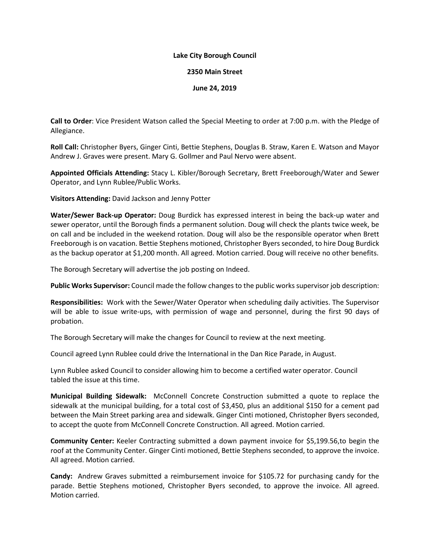## **Lake City Borough Council**

## **2350 Main Street**

## **June 24, 2019**

**Call to Order**: Vice President Watson called the Special Meeting to order at 7:00 p.m. with the Pledge of Allegiance.

**Roll Call:** Christopher Byers, Ginger Cinti, Bettie Stephens, Douglas B. Straw, Karen E. Watson and Mayor Andrew J. Graves were present. Mary G. Gollmer and Paul Nervo were absent.

**Appointed Officials Attending:** Stacy L. Kibler/Borough Secretary, Brett Freeborough/Water and Sewer Operator, and Lynn Rublee/Public Works.

**Visitors Attending:** David Jackson and Jenny Potter

**Water/Sewer Back-up Operator:** Doug Burdick has expressed interest in being the back-up water and sewer operator, until the Borough finds a permanent solution. Doug will check the plants twice week, be on call and be included in the weekend rotation. Doug will also be the responsible operator when Brett Freeborough is on vacation. Bettie Stephens motioned, Christopher Byers seconded, to hire Doug Burdick as the backup operator at \$1,200 month. All agreed. Motion carried. Doug will receive no other benefits.

The Borough Secretary will advertise the job posting on Indeed.

**Public Works Supervisor:** Council made the follow changes to the public works supervisor job description:

**Responsibilities:** Work with the Sewer/Water Operator when scheduling daily activities. The Supervisor will be able to issue write-ups, with permission of wage and personnel, during the first 90 days of probation.

The Borough Secretary will make the changes for Council to review at the next meeting.

Council agreed Lynn Rublee could drive the International in the Dan Rice Parade, in August.

Lynn Rublee asked Council to consider allowing him to become a certified water operator. Council tabled the issue at this time.

**Municipal Building Sidewalk:** McConnell Concrete Construction submitted a quote to replace the sidewalk at the municipal building, for a total cost of \$3,450, plus an additional \$150 for a cement pad between the Main Street parking area and sidewalk. Ginger Cinti motioned, Christopher Byers seconded, to accept the quote from McConnell Concrete Construction. All agreed. Motion carried.

**Community Center:** Keeler Contracting submitted a down payment invoice for \$5,199.56,to begin the roof at the Community Center. Ginger Cinti motioned, Bettie Stephens seconded, to approve the invoice. All agreed. Motion carried.

**Candy:** Andrew Graves submitted a reimbursement invoice for \$105.72 for purchasing candy for the parade. Bettie Stephens motioned, Christopher Byers seconded, to approve the invoice. All agreed. Motion carried.